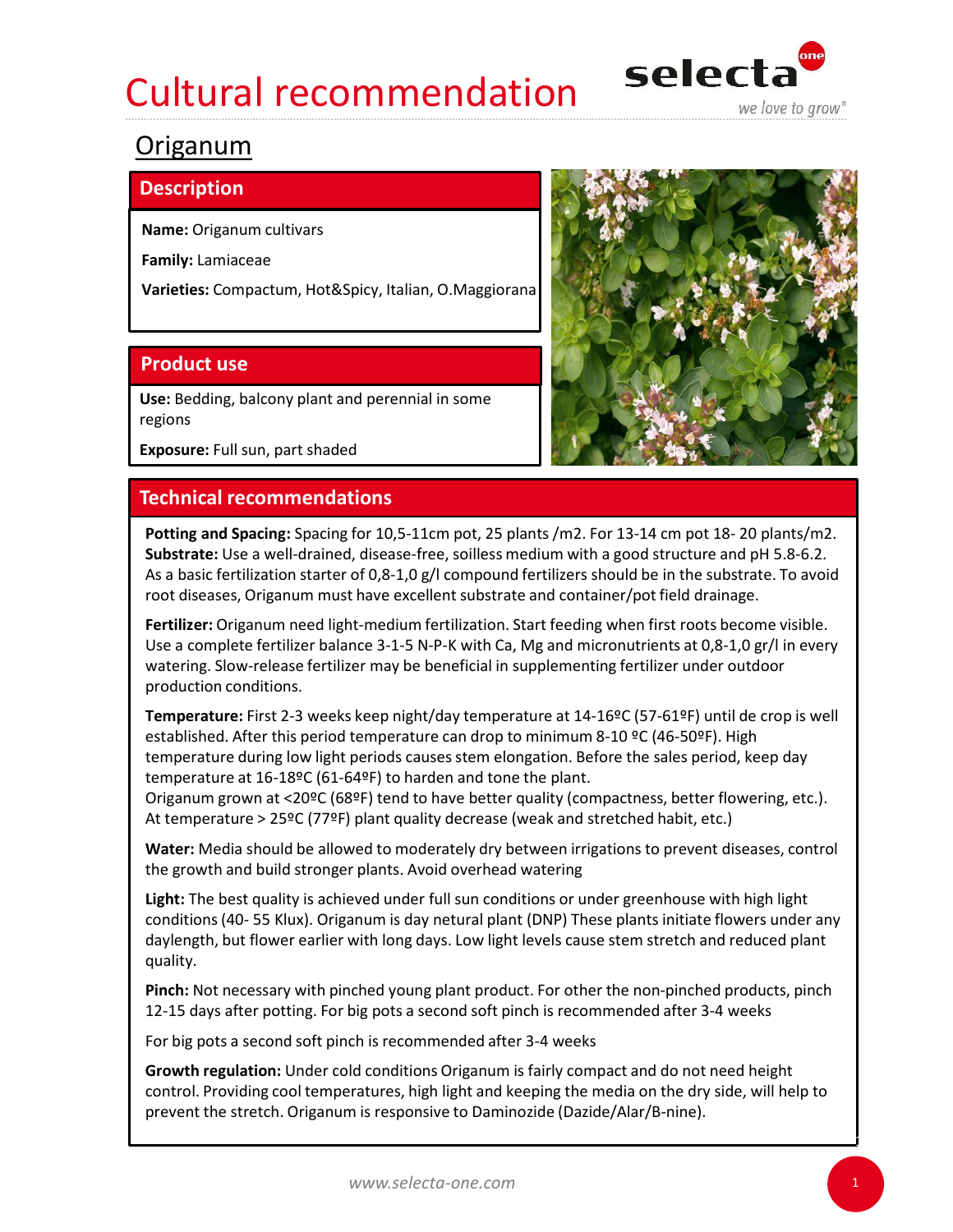# Cultural recommendation selecta



### Origanum

### **Description**

Family: Lamiaceae

Varieties: Compactum, Hot&Spicy, Italian, O.Maggiorana

Use: Bedding, balcony plant and perennial in some regions

Exposure: Full sun, part shaded

Substrate: Use a well-drained, disease-free, soilless medium with a good structure and pH 5.8-6.2. As a basic fertilization starter of 0,8-1,0 g/l compound fertilizers should be in the substrate. To avoid egions<br> **Enchnical recommendations**<br> **Enchnical recommendations**<br> **Potting and Spacing:** Spacing for 10,5-11cm pot, 25 plants /m2. For 13-14 cm pot 18-20 plants/m2.<br> **Substrate:** Use a well-drained, disease-free, soilless

Use a complete fertilizer balance 3-1-5 N-P-K with Ca, Mg and micronutrients at 0,8-1,0 gr/l in every watering. Slow-release fertilizer may be beneficial in supplementing fertilizer under outdoor production conditions.

Temperature: First 2-3 weeks keep night/day temperature at 14-16ºC (57-61ºF) until de crop is well established. After this period temperature can drop to minimum 8-10 ºC (46-50ºF). High temperature during low light periods causes stem elongation. Before the sales period, keep day temperature at 16-18ºC (61-64ºF) to harden and tone the plant. **Potting and Spacing:** Spacing for 10,5-11cm pot, 25 plants /m2. For 13-14 cm pot 18-20 plants/m2.<br>**Substrat**e: Use a well-drained, disease-free, soilless medium with a good structure and pH 5.8-6.2.<br>As a basic fertilizati Fertilizer: Origanum meed light-medium fertilization. Start feeding when first roots become visible.<br>Use a complete fertilizer balance 3-1-5 N-P-K with Ca, Mg and micronutrients at 0,8-1,0 g// in every<br>watering, Slow-relea ore comprene tremment or or the ment continuous or the mental supplementing fertilizer under outdoor<br>
production conditions.<br> **Temperature:** First 2-3 weeks keep night/day temperature at 14-16ºC (57-61ºF) until de crop<br>
p production conditions.<br>
Temperature: First 2-3 weeks keep night/day temperature at 14-169C (57-61ºF) until de crop is well<br>
established. After this period temperature can drop to minimum 8-10 ºC (46-50ºF). High<br>
temperatur

At temperature > 25ºC (77ºF) plant quality decrease (weak and stretched habit, etc.)

Water: Media should be allowed to moderately dry between irrigations to prevent diseases, control the growth and build stronger plants. Avoid overhead watering

Light: The best quality is achieved under full sun conditions or under greenhouse with high light daylength, but flower earlier with long days. Low light levels cause stem stretch and reduced plant quality. For the stretch. Origanum is responsive to Daminozide (Dazide/Alar/B-nine).<br>
Eestablished. After this period temperature can drop to minimum 8-10 ες (46-50ε). High<br>
temperature at 16-18ες (61-64ε) to harden and tone the p

Pinch: Not necessary with pinched young plant product. For other the non-pinched products, pinch

control. Providing cool temperatures, high light and keeping the media on the dry side, will help to



1